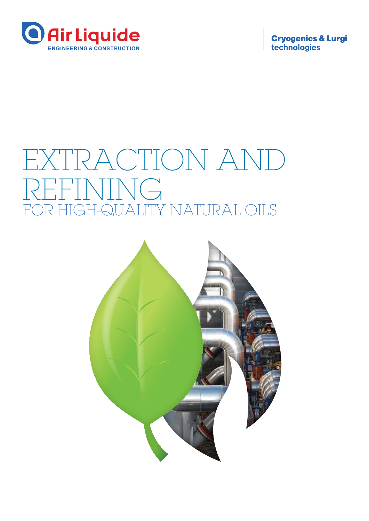

**Cryogenics & Lurgi**<br>technologies

# EXTRACTION AND VING FOR HIGH-QUALITY NATURAL OILS

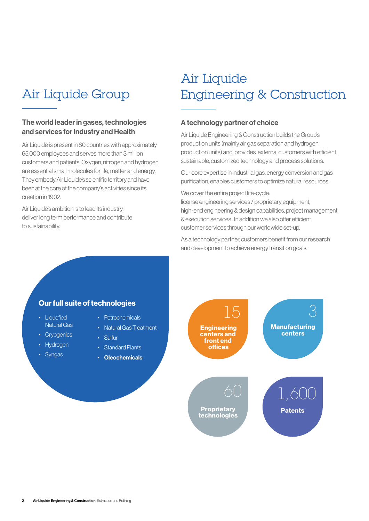### Air Liquide Group

#### The world leader in gases, technologies and services for Industry and Health

Air Liquide is present in 80 countries with approximately 65,000 employees and serves more than 3 million customers and patients. Oxygen, nitrogen and hydrogen are essential small molecules for life, matter and energy. They embody Air Liquide's scientific territory and have been at the core of the company's activities since its creation in 1902.

Air Liquide's ambition is to lead its industry, deliver long term performance and contribute to sustainability.

### Air Liquide Engineering & Construction

#### A technology partner of choice

Air Liquide Engineering & Construction builds the Group's production units (mainly air gas separation and hydrogen production units) and provides external customers with efficient, sustainable, customized technology and process solutions.

Our core expertise in industrial gas, energy conversion and gas purification, enables customers to optimize natural resources.

We cover the entire project life-cycle:

license engineering services / proprietary equipment, high-end engineering & design capabilities, project management & execution services. In addition we also offer efficient customer services through our worldwide set-up.

As a technology partner, customers benefit from our research and development to achieve energy transition goals.

#### Our full suite of technologies

- Liquefied Natural Gas
- Cryogenics
- Hydrogen
- Syngas
- Petrochemicals
- Natural Gas Treatment
- Sulfur
	- Standard Plants
	- Oleochemicals

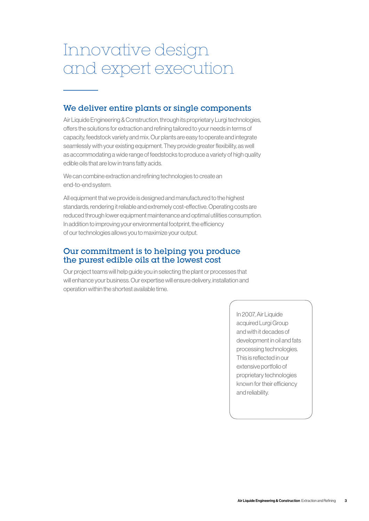# Innovative design and expert execution

#### We deliver entire plants or single components

Air Liquide Engineering & Construction, through its proprietary Lurgi technologies, offers the solutions for extraction and refining tailored to your needs in terms of capacity, feedstock variety and mix. Our plants are easy to operate and integrate seamlessly with your existing equipment. They provide greater flexibility, as well as accommodating a wide range of feedstocks to produce a variety of high quality edible oils that are low in trans fatty acids.

We can combine extraction and refining technologies to create an end-to-end system.

All equipment that we provide is designed and manufactured to the highest standards, rendering it reliable and extremely cost-effective. Operating costs are reduced through lower equipment maintenance and optimal utilities consumption. In addition to improving your environmental footprint, the efficiency of our technologies allows you to maximize your output.

#### Our commitment is to helping you produce the purest edible oils at the lowest cost

Our project teams will help guide you in selecting the plant or processes that will enhance your business. Our expertise will ensure delivery, installation and operation within the shortest available time.

> In 2007, Air Liquide acquired Lurgi Group and with it decades of development in oil and fats processing technologies. This is reflected in our extensive portfolio of proprietary technologies known for their efficiency and reliability.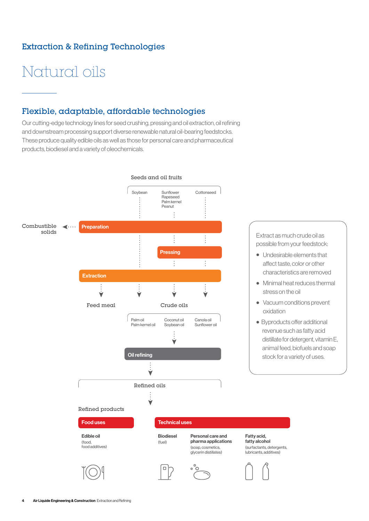### Extraction & Refining Technologies

# Natural oils

### Flexible, adaptable, affordable technologies

Our cutting-edge technology lines for seed crushing, pressing and oil extraction, oil refining and downstream processing support diverse renewable natural oil-bearing feedstocks. These produce quality edible oils as well as those for personal care and pharmaceutical products, biodiesel and a variety of oleochemicals.

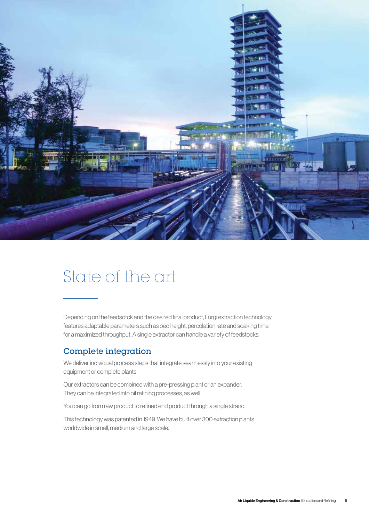

### State of the art

Depending on the feedsotck and the desired final product, Lurgi extraction technology features adaptable parameters such as bed height, percolation rate and soaking time, for a maximized throughput. A single extractor can handle a variety of feedstocks.

#### Complete integration

We deliver individual process steps that integrate seamlessly into your existing equipment or complete plants.

Our extractors can be combined with a pre-pressing plant or an expander. They can be integrated into oil refining processes, as well.

You can go from raw product to refined end product through a single strand.

This technology was patented in 1949. We have built over 300 extraction plants worldwide in small, medium and large scale.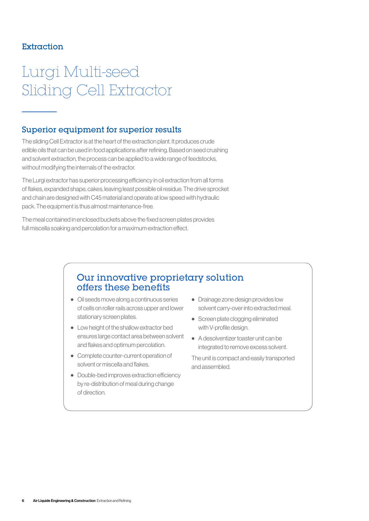#### Extraction

# Lurgi Multi-seed Sliding Cell Extractor

#### Superior equipment for superior results

The sliding Cell Extractor is at the heart of the extraction plant. It produces crude edible oils that can be used in food applications after refining. Based on seed crushing and solvent extraction, the process can be applied to a wide range of feedstocks, without modifying the internals of the extractor.

The Lurgi extractor has superior processing efficiency in oil extraction from all forms of flakes, expanded shape, cakes, leaving least possible oil residue. The drive sprocket and chain are designed with C45 material and operate at low speed with hydraulic pack. The equipment is thus almost maintenance-free.

The meal contained in enclosed buckets above the fixed screen plates provides full miscella soaking and percolation for a maximum extraction effect.

### Our innovative proprietary solution offers these benefits

- Oil seeds move along a continuous series of cells on roller rails across upper and lower stationary screen plates.
- Low height of the shallow extractor bed ensures large contact area between solvent and flakes and optimum percolation.
- Complete counter-current operation of solvent or miscella and flakes.
- Double-bed improves extraction efficiency by re-distribution of meal during change of direction.
- Drainage zone design provides low solvent carry-over into extracted meal.
- Screen plate clogging eliminated with V-profile design.
- A desolventizer toaster unit can be integrated to remove excess solvent.

The unit is compact and easily transported and assembled.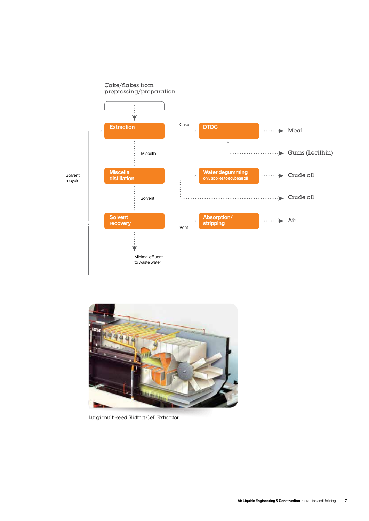



Lurgi multi-seed Sliding Cell Extractor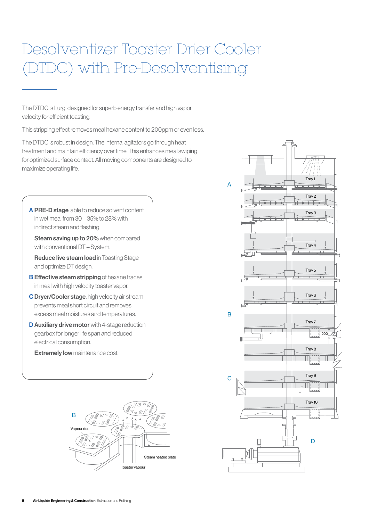# Desolventizer Toaster Drier Cooler (DTDC) with Pre-Desolventising

The DTDC is Lurgi designed for superb energy transfer and high vapor velocity for efficient toasting.

This stripping effect removes meal hexane content to 200ppm or even less.

The DTDC is robust in design. The internal agitators go through heat treatment and maintain efficiency over time. This enhances meal swiping for optimized surface contact. All moving components are designed to maximize operating life.

A PRE-D stage, able to reduce solvent content in wet meal from 30 – 35% to 28% with indirect steam and flashing.

Steam saving up to 20% when compared with conventional DT – System.

 Reduce live steam load in Toasting Stage and optimize DT design.

- **B Effective steam stripping** of hexane traces in meal with high velocity toaster vapor.
- C Dryer/Cooler stage, high velocity air stream prevents meal short circuit and removes excess meal moistures and temperatures.
- **D Auxiliary drive motor** with 4-stage reduction gearbox for longer life span and reduced electrical consumption.

**Extremely low maintenance cost.** 



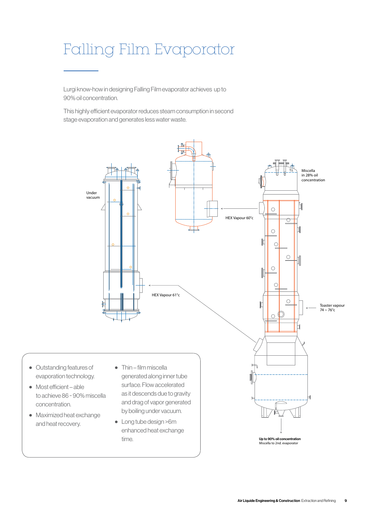# Falling Film Evaporator

Lurgi know-how in designing Falling Film evaporator achieves up to 90% oil concentration.

This highly efficient evaporator reduces steam consumption in second stage evaporation and generates less water waste.

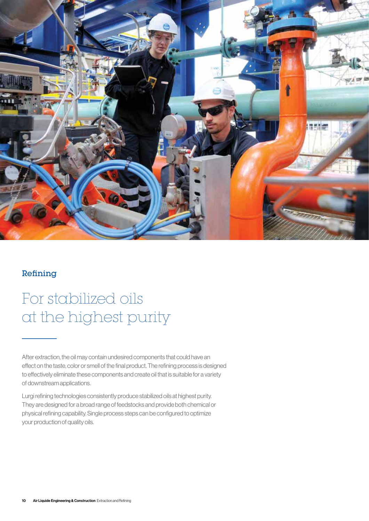

#### Refining

### For stabilized oils at the highest purity

After extraction, the oil may contain undesired components that could have an effect on the taste, color or smell of the final product. The refining process is designed to effectively eliminate these components and create oil that is suitable for a variety of downstream applications.

Lurgi refining technologies consistently produce stabilized oils at highest purity. They are designed for a broad range of feedstocks and provide both chemical or physical refining capability. Single process steps can be configured to optimize your production of quality oils.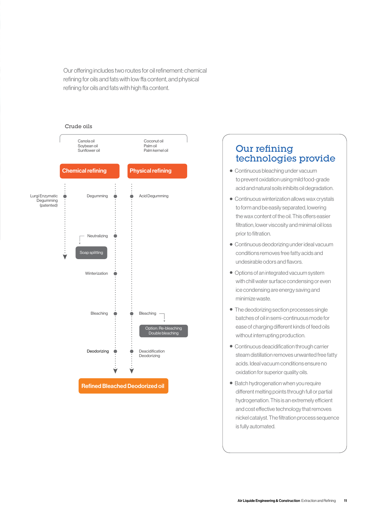Our offering includes two routes for oil refinement: chemical refining for oils and fats with low ffa content, and physical refining for oils and fats with high ffa content.



### Our refining technologies provide

- Continuous bleaching under vacuum to prevent oxidation using mild food-grade acid and natural soils inhibits oil degradation.
- Continuous winterization allows wax crystals to form and be easily separated, lowering the wax content of the oil. This offers easier filtration, lower viscosity and minimal oil loss prior to filtration.
- Continuous deodorizing under ideal vacuum conditions removes free fatty acids and undesirable odors and flavors.
- Options of an integrated vacuum system with chill water surface condensing or even ice condensing are energy saving and minimize waste.
- The deodorizing section processes single batches of oil in semi-continuous mode for ease of charging different kinds of feed oils without interrupting production.
- Continuous deacidification through carrier steam distillation removes unwanted free fatty acids. Ideal vacuum conditions ensure no oxidation for superior quality oils.
- Batch hydrogenation when you require different melting points through full or partial hydrogenation. This is an extremely efficient and cost effective technology that removes nickel catalyst. The filtration process sequence is fully automated.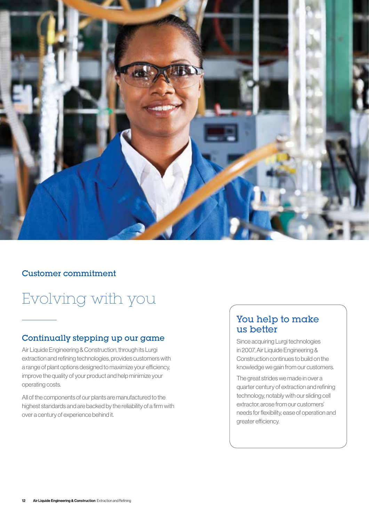

#### Customer commitment

## Evolving with you

#### Continually stepping up our game

Air Liquide Engineering & Construction, through its Lurgi extraction and refining technologies, provides customers with a range of plant options designed to maximize your efficiency, improve the quality of your product and help minimize your operating costs.

All of the components of our plants are manufactured to the highest standards and are backed by the reliability of a firm with over a century of experience behind it.

### You help to make us better

Since acquiring Lurgi technologies in 2007, Air Liquide Engineering & Construction continues to build on the knowledge we gain from our customers.

The great strides we made in over a quarter century of extraction and refining technology, notably with our sliding cell extractor, arose from our customers' needs for flexibility, ease of operation and greater efficiency.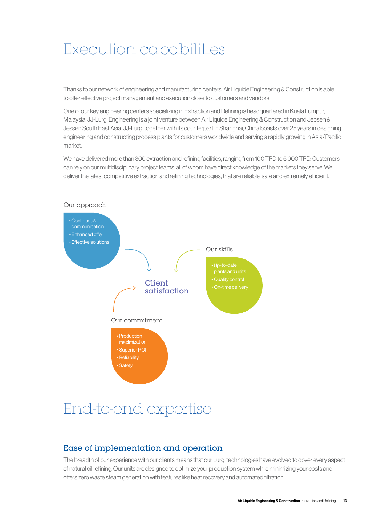### Execution capabilities

Thanks to our network of engineering and manufacturing centers, Air Liquide Engineering & Construction is able to offer effective project management and execution close to customers and vendors.

One of our key engineering centers specializing in Extraction and Refining is headquartered in Kuala Lumpur, Malaysia. JJ-Lurgi Engineering is a joint venture between Air Liquide Engineering & Construction and Jebsen & Jessen South East Asia. JJ-Lurgi together with its counterpart in Shanghai, China boasts over 25 years in designing, engineering and constructing process plants for customers worldwide and serving a rapidly growing in Asia/Pacific market.

We have delivered more than 300 extraction and refining facilities, ranging from 100 TPD to 5 000 TPD. Customers can rely on our multidisciplinary project teams, all of whom have direct knowledge of the markets they serve. We deliver the latest competitive extraction and refining technologies, that are reliable, safe and extremely efficient.



# End-to-end expertise

### Ease of implementation and operation

The breadth of our experience with our clients means that our Lurgi technologies have evolved to cover every aspect of natural oil refining. Our units are designed to optimize your production system while minimizing your costs and offers zero waste steam generation with features like heat recovery and automated filtration.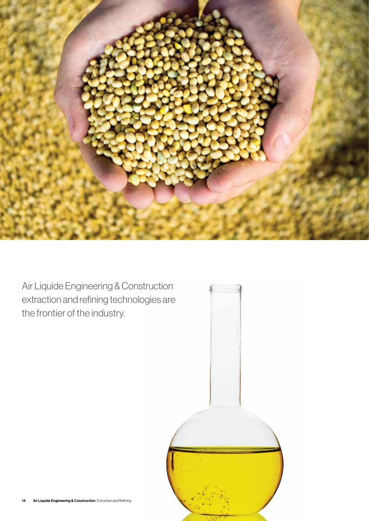

Air Liquide Engineering & Construction extraction and refining technologies are the frontier of the industry.